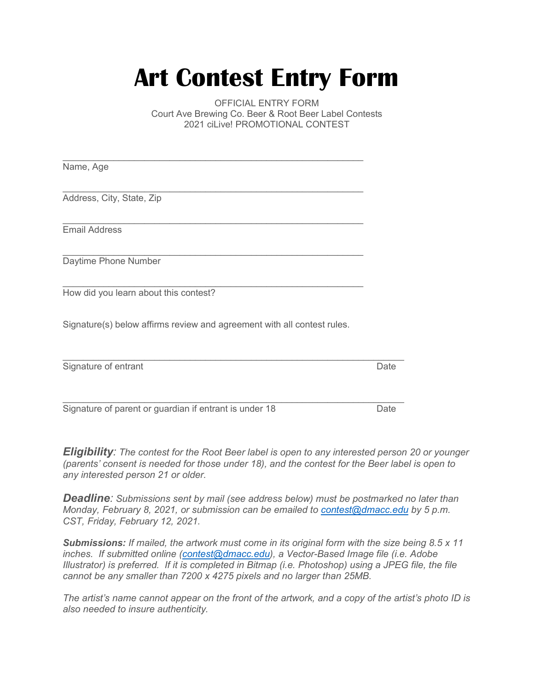## **Art Contest Entry Form**

OFFICIAL ENTRY FORM Court Ave Brewing Co. Beer & Root Beer Label Contests 2021 ciLive! PROMOTIONAL CONTEST

| Name, Age                                                               |      |
|-------------------------------------------------------------------------|------|
|                                                                         |      |
| Address, City, State, Zip                                               |      |
|                                                                         |      |
| <b>Email Address</b>                                                    |      |
| Daytime Phone Number                                                    |      |
| How did you learn about this contest?                                   |      |
| Signature(s) below affirms review and agreement with all contest rules. |      |
| Signature of entrant                                                    | Date |

Signature of parent or guardian if entrant is under 18 Date

 $\mathcal{L}_\mathcal{L} = \{ \mathcal{L}_\mathcal{L} = \{ \mathcal{L}_\mathcal{L} = \{ \mathcal{L}_\mathcal{L} = \{ \mathcal{L}_\mathcal{L} = \{ \mathcal{L}_\mathcal{L} = \{ \mathcal{L}_\mathcal{L} = \{ \mathcal{L}_\mathcal{L} = \{ \mathcal{L}_\mathcal{L} = \{ \mathcal{L}_\mathcal{L} = \{ \mathcal{L}_\mathcal{L} = \{ \mathcal{L}_\mathcal{L} = \{ \mathcal{L}_\mathcal{L} = \{ \mathcal{L}_\mathcal{L} = \{ \mathcal{L}_\mathcal{$ 

*Eligibility: The contest for the Root Beer label is open to any interested person 20 or younger (parents' consent is needed for those under 18), and the contest for the Beer label is open to any interested person 21 or older.* 

*Deadline: Submissions sent by mail (see address below) must be postmarked no later than Monday, February 8, 2021, or submission can be emailed to [contest@dmacc.edu](mailto:contest@dmacc.edu) by 5 p.m. CST, Friday, February 12, 2021.*

*Submissions: If mailed, the artwork must come in its original form with the size being 8.5 x 11 inches. If submitted online [\(contest@dmacc.edu\)](mailto:contest@dmacc.edu), a Vector-Based Image file (i.e. Adobe Illustrator) is preferred. If it is completed in Bitmap (i.e. Photoshop) using a JPEG file, the file cannot be any smaller than 7200 x 4275 pixels and no larger than 25MB.*

*The artist's name cannot appear on the front of the artwork, and a copy of the artist's photo ID is also needed to insure authenticity.*